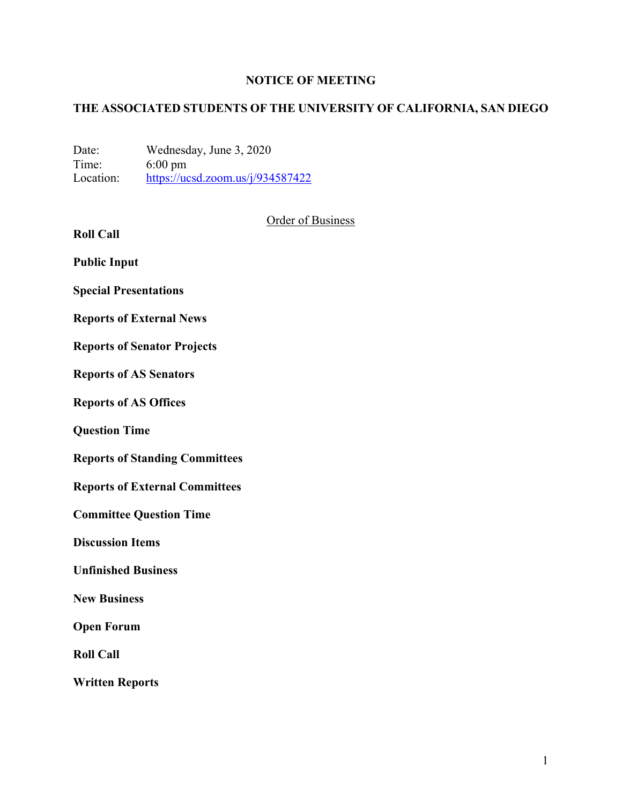## **NOTICE OF MEETING**

# **THE ASSOCIATED STUDENTS OF THE UNIVERSITY OF CALIFORNIA, SAN DIEGO**

Date: Wednesday, June 3, 2020<br>Time: 6:00 pm Time: 6:00 pm<br>Location: https://uc  $\frac{https://ucsd.zoom.us/j/934587422}{https://ucsd.zoom.us/j/934587422}$ 

|                                       | <b>Order of Business</b> |
|---------------------------------------|--------------------------|
| <b>Roll Call</b>                      |                          |
| <b>Public Input</b>                   |                          |
| <b>Special Presentations</b>          |                          |
| <b>Reports of External News</b>       |                          |
| <b>Reports of Senator Projects</b>    |                          |
| <b>Reports of AS Senators</b>         |                          |
| <b>Reports of AS Offices</b>          |                          |
| <b>Question Time</b>                  |                          |
| <b>Reports of Standing Committees</b> |                          |
| <b>Reports of External Committees</b> |                          |
| <b>Committee Question Time</b>        |                          |
| <b>Discussion Items</b>               |                          |
| <b>Unfinished Business</b>            |                          |
| <b>New Business</b>                   |                          |
| <b>Open Forum</b>                     |                          |
| <b>Roll Call</b>                      |                          |

**Written Reports**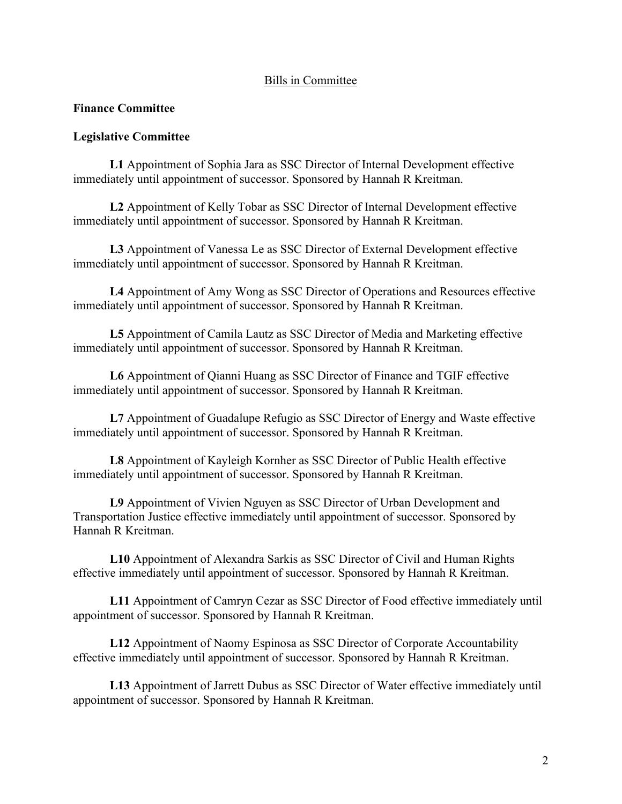### Bills in Committee

### **Finance Committee**

#### **Legislative Committee**

**L1** Appointment of Sophia Jara as SSC Director of Internal Development effective immediately until appointment of successor. Sponsored by Hannah R Kreitman.

**L2** Appointment of Kelly Tobar as SSC Director of Internal Development effective immediately until appointment of successor. Sponsored by Hannah R Kreitman.

**L3** Appointment of Vanessa Le as SSC Director of External Development effective immediately until appointment of successor. Sponsored by Hannah R Kreitman.

**L4** Appointment of Amy Wong as SSC Director of Operations and Resources effective immediately until appointment of successor. Sponsored by Hannah R Kreitman.

**L5** Appointment of Camila Lautz as SSC Director of Media and Marketing effective immediately until appointment of successor. Sponsored by Hannah R Kreitman.

**L6** Appointment of Qianni Huang as SSC Director of Finance and TGIF effective immediately until appointment of successor. Sponsored by Hannah R Kreitman.

**L7** Appointment of Guadalupe Refugio as SSC Director of Energy and Waste effective immediately until appointment of successor. Sponsored by Hannah R Kreitman.

**L8** Appointment of Kayleigh Kornher as SSC Director of Public Health effective immediately until appointment of successor. Sponsored by Hannah R Kreitman.

**L9** Appointment of Vivien Nguyen as SSC Director of Urban Development and Transportation Justice effective immediately until appointment of successor. Sponsored by Hannah R Kreitman.

**L10** Appointment of Alexandra Sarkis as SSC Director of Civil and Human Rights effective immediately until appointment of successor. Sponsored by Hannah R Kreitman.

**L11** Appointment of Camryn Cezar as SSC Director of Food effective immediately until appointment of successor. Sponsored by Hannah R Kreitman.

**L12** Appointment of Naomy Espinosa as SSC Director of Corporate Accountability effective immediately until appointment of successor. Sponsored by Hannah R Kreitman.

**L13** Appointment of Jarrett Dubus as SSC Director of Water effective immediately until appointment of successor. Sponsored by Hannah R Kreitman.